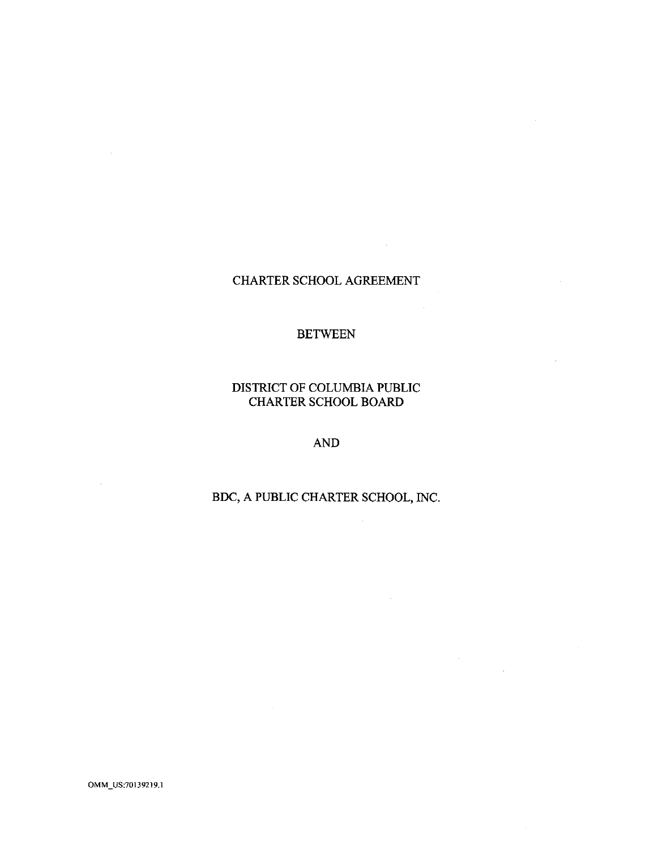## CHARTER SCHOOL AGREEMENT

 $\mathcal{L}^{\text{max}}_{\text{max}}$  and  $\mathcal{L}^{\text{max}}_{\text{max}}$ 

 $\mathcal{L}^{\pm}$ 

 $\sim$ 

### BETWEEN

DISTRICT OF COLUMBIA PUBLIC CHARTER SCHOOL BOARD

AND

BDC, A PUBLIC CHARTER SCHOOL, INC.

 $\mathcal{L}$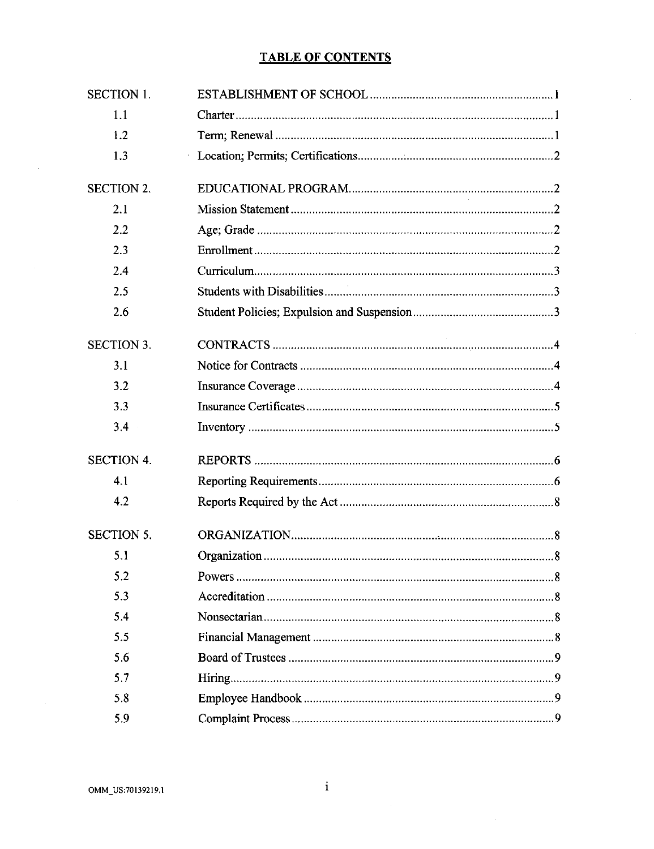## **TABLE OF CONTENTS**

| <b>SECTION 1.</b> |  |  |  |  |
|-------------------|--|--|--|--|
| 1.1               |  |  |  |  |
| 1.2               |  |  |  |  |
| 1.3               |  |  |  |  |
| <b>SECTION 2.</b> |  |  |  |  |
| 2.1               |  |  |  |  |
| 2.2               |  |  |  |  |
| 2.3               |  |  |  |  |
| 2.4               |  |  |  |  |
| 2.5               |  |  |  |  |
| 2.6               |  |  |  |  |
| <b>SECTION 3.</b> |  |  |  |  |
| 3.1               |  |  |  |  |
| 3.2               |  |  |  |  |
| 3.3               |  |  |  |  |
| 3.4               |  |  |  |  |
| <b>SECTION 4.</b> |  |  |  |  |
| 4.1               |  |  |  |  |
| 4.2               |  |  |  |  |
| <b>SECTION 5.</b> |  |  |  |  |
| 5.1               |  |  |  |  |
| 5.2               |  |  |  |  |
| 5.3               |  |  |  |  |
| 5.4               |  |  |  |  |
| 5.5               |  |  |  |  |
| 5.6               |  |  |  |  |
| 5.7               |  |  |  |  |
| 5.8               |  |  |  |  |
| 5.9               |  |  |  |  |

 $\bar{z}$ 

 $\sim$ 

 $\mathbf{i}$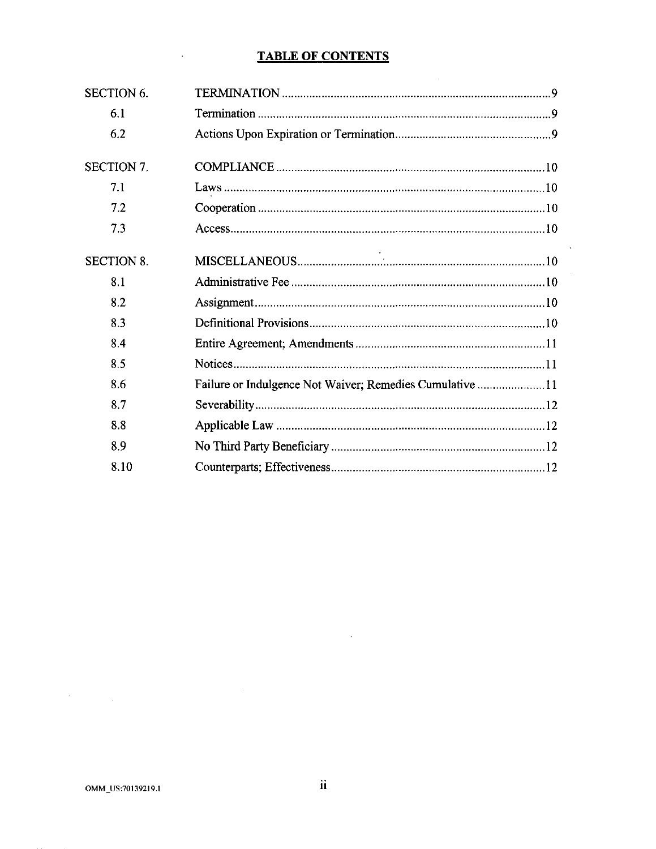## **TABLE OF CONTENTS**

 $\sim 10^7$ 

| <b>SECTION 6.</b> |                                                          |
|-------------------|----------------------------------------------------------|
| 6.1               |                                                          |
| 6.2               |                                                          |
| <b>SECTION 7.</b> |                                                          |
| 7.1               |                                                          |
| 7.2               |                                                          |
| 7.3               | Access 10                                                |
| <b>SECTION 8.</b> |                                                          |
| 8.1               |                                                          |
| 8.2               |                                                          |
| 8.3               |                                                          |
| 8.4               |                                                          |
| 8.5               |                                                          |
| 86                | Failure or Indulgence Not Waiver; Remedies Cumulative 11 |
| 8.7               |                                                          |
| 8.8               |                                                          |
| 8.9               |                                                          |
| 8.10              |                                                          |

 $\sim$ 

 $\label{eq:2.1} \frac{1}{\sqrt{2}}\sum_{i=1}^n\frac{1}{\sqrt{2}}\sum_{i=1}^n\frac{1}{\sqrt{2}}\sum_{i=1}^n\frac{1}{\sqrt{2}}\sum_{i=1}^n\frac{1}{\sqrt{2}}\sum_{i=1}^n\frac{1}{\sqrt{2}}\sum_{i=1}^n\frac{1}{\sqrt{2}}\sum_{i=1}^n\frac{1}{\sqrt{2}}\sum_{i=1}^n\frac{1}{\sqrt{2}}\sum_{i=1}^n\frac{1}{\sqrt{2}}\sum_{i=1}^n\frac{1}{\sqrt{2}}\sum_{i=1}^n\frac$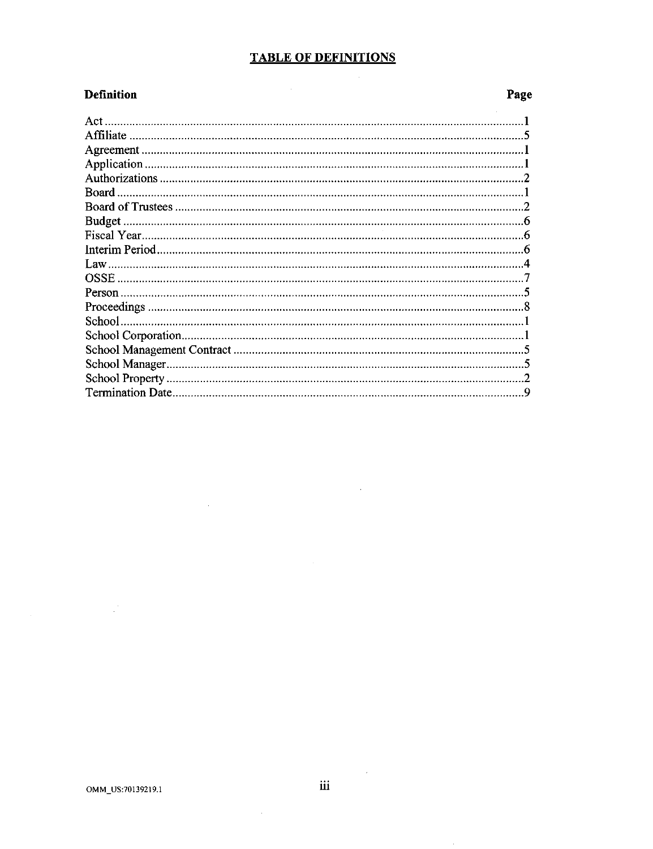## **TABLE OF DEFINITIONS**

 $\label{eq:2.1} \frac{1}{\sqrt{2}}\int_{\mathbb{R}^3}\frac{1}{\sqrt{2}}\left(\frac{1}{\sqrt{2}}\right)^2\frac{1}{\sqrt{2}}\left(\frac{1}{\sqrt{2}}\right)^2\frac{1}{\sqrt{2}}\left(\frac{1}{\sqrt{2}}\right)^2.$ 

 $\hat{\mathcal{A}}$ 

 $\sim 10^{-1}$ 

### **Definition**

## Page

 $\sim$   $\sim$ 

 $\sim$   $\sim$ 

 $\hat{\boldsymbol{\theta}}$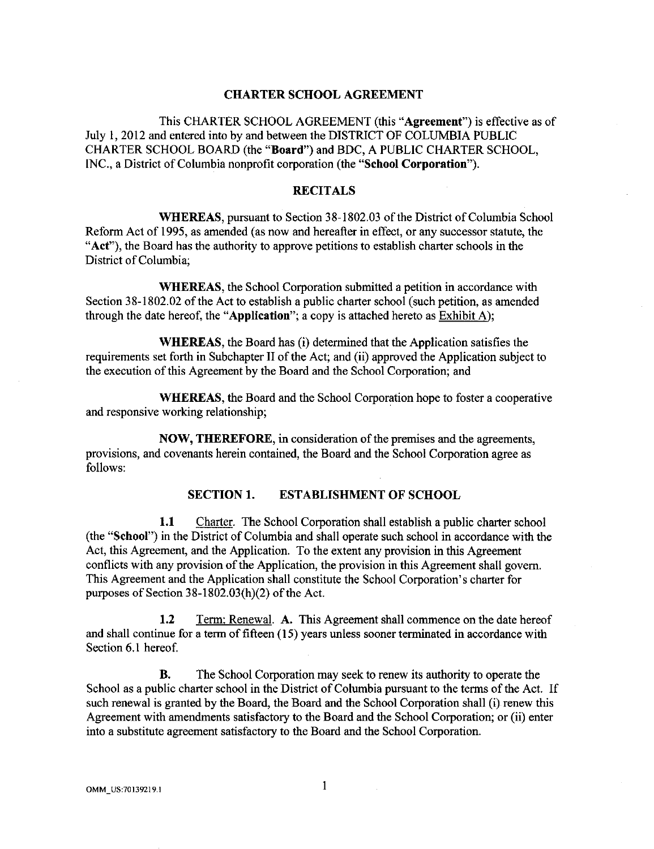#### **CHARTER SCHOOL AGREEMENT**

This CHARTER SCHOOL AGREEMENT (this **"Agreement")** is effective as of July I, 2012 and entered into by and between the DISTRICT OF COLUMBIA PUBLIC CHARTER SCHOOL BOARD (the **"Board")** and BDC, A PUBLIC CHARTER SCHOOL, INC., a District of Columbia nonprofit corporation (the **"School Corporation").** 

#### **RECITALS**

**WHEREAS,** pursuant to Section 38-1802.03 of the District of Columbia School Reform Act of 1995, as amended (as now and hereafter in effect, or any successor statute, the **"Act"),** the Board has the authority to approve petitions to establish charter schools in the District of Columbia;

**WHEREAS,** the School Corporation submitted a petition in accordance with Section 38-1802.02 of the Act to establish a public charter school (such petition, as amended through the date hereof, the **"Application";** a copy is attached hereto as Exhibit A);

**WHEREAS,** the Board has (i) determined that the Application satisfies the requirements set forth in Subchapter II of the Act; and (ii) approved the Application subject to the execution of this Agreement by the Board and the School Corporation; and

**WHEREAS,** the Board and the School Corporation hope to foster a cooperative and responsive working relationship;

**NOW, THEREFORE,** in consideration of the premises and the agreements, provisions, and covenants herein contained, the Board and the School Corporation agree as follows:

#### **SECTION 1. ESTABLISHMENT OF SCHOOL**

**1.1** Charter. The School Corporation shall establish a public charter school (the **"School")** in the District of Columbia and shall operate such school in accordance with the Act, this Agreement, and the Application. To the extent any provision in this Agreement conflicts with any provision of the Application, the provision in this Agreement shall govern. This Agreement and the Application shall constitute the School Corporation's charter for purposes of Section 38-1802.03(h)(2) of the Act.

**1.2 Term:** Renewal. **A.** This Agreement shall commence on the date hereof and shall continue for a term of fifteen (15) years unless sooner terminated in accordance with Section 6.1 hereof.

**B.** The School Corporation may seek to renew its authority to operate the School as a public charter school in the District of Columbia pursuant to the terms of the Act. If such renewal is granted by the Board, the Board and the School Corporation shall (i) renew this Agreement with amendments satisfactory to the Board and the School Corporation; or (ii) enter into a substitute agreement satisfactory to the Board and the School Corporation.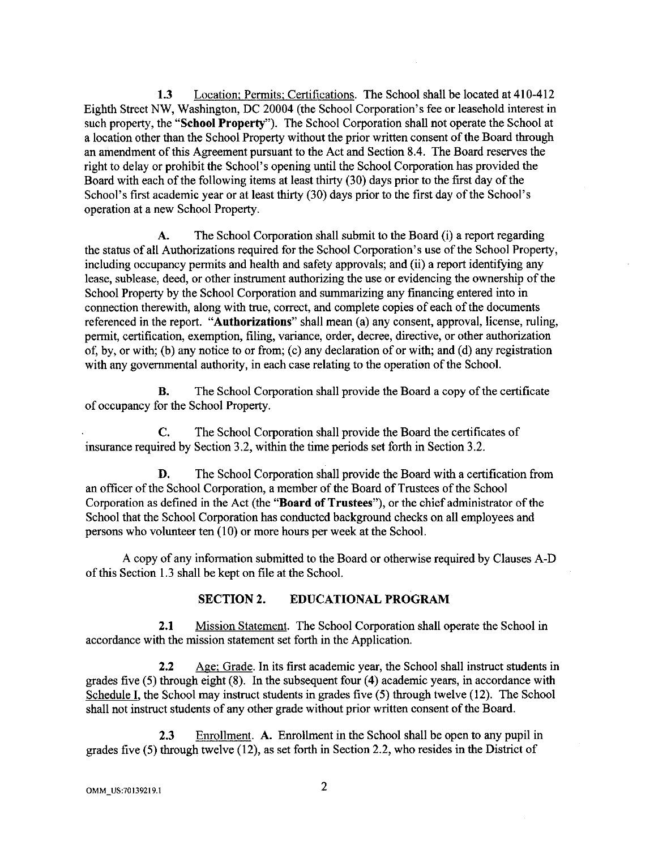**1.3** Location; Permits; Certifications. The School shall be located at 410-412 Eighth Street NW, Washington, DC 20004 (the School Corporation's fee or leasehold interest in such property, the **"School Property").** The School Corporation shall not operate the School at a location other than the School Property without the prior written consent of the Board through an amendment of this Agreement pursuant to the Act and Section 8.4. The Board reserves the right to delay or prohibit the School's opening until the School Corporation has provided the Board with each of the following items at least thirty (30) days prior to the first day of the School's first academic year or at least thirty (30) days prior to the first day of the School's operation at a new School Property.

A. The School Corporation shall submit to the Board (i) a report regarding the status of all Authorizations required for the School Corporation's use of the School Property, including occupancy permits and health and safety approvals; and (ii) a report identifying any lease, sublease, deed, or other instrument authorizing the use or evidencing the ownership of the School Property by the School Corporation and summarizing any financing entered into in connection therewith, along with true, correct, and complete copies of each of the documents referenced in the report. **"Authorizatious"** shall mean (a) any consent, approval, license, ruling, permit, certification, exemption, filing, variance, order, decree, directive, or other authorization of, by, or with; (b) any notice to or from; (c) any declaration of or with; and (d) any registration with any governmental authority, in each case relating to the operation of the School.

**B.** The School Corporation shall provide the Board a copy of the certificate of occupancy for the School Property.

C. The School Corporation shall provide the Board the certificates of insurance required by Section 3.2, within the time periods set forth in Section 3.2.

**D.** The School Corporation shall provide the Board with a certification from an officer of the School Corporation, a member of the Board of Trustees of the School Corporation as defined in the Act (the **"Board of Trustees"),** or the chief administrator of the School that the School Corporation has conducted background checks on all employees and persons who volunteer ten (10) or more hours per week at the School.

A copy of any information submitted to the Board or otherwise required by Clauses A-D of this Section 1.3 shall be kept on file at the School.

### **SECTION 2. EDUCATIONAL PROGRAM**

**2.1** Mission Statement. The School Corporation shall operate the School in accordance with the mission statement set forth in the Application.

**2.2** Age; Grade. In its first academic year, the School shall instruct students in grades five (5) through eight (8). In the subsequent four ( **4)** academic years, in accordance with Schedule I, the School may instruct students in grades five (5) through twelve (12). The School shall not instruct students of any other grade without prior written consent of the Board.

2.3 Enrollment. **A.** Enrollment in the School shall be open to any pupil in grades five (5) through twelve (12), as set forth in Section 2.2, who resides in the District of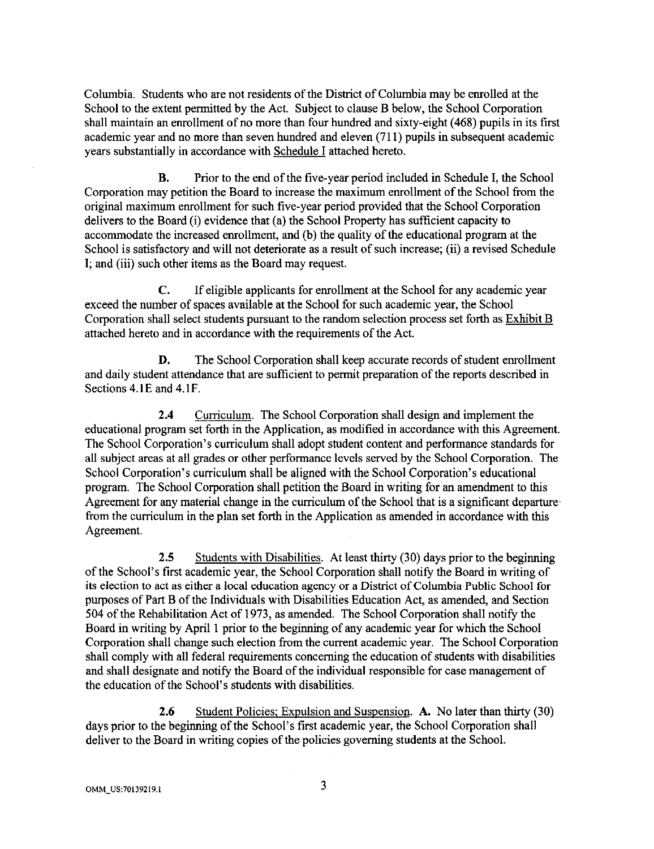Columbia. Students who are not residents of the District of Columbia may be enrolled at the School to the extent permitted by the Act. Subject to clause B below, the School Corporation shall maintain an enrollment of no more than four hundred and sixty-eight ( 468) pupils in its first academic year and no more than seven hundred and eleven (711) pupils in subsequent academic years substantially in accordance with Schedule I attached hereto.

B. Prior to the end of the five-year period included in Schedule I, the School Corporation may petition the Board to increase the maximum enrollment of the School from the original maximum enrollment for such five-year period provided that the School Corporation delivers to the Board (i) evidence that (a) the School Property has sufficient capacity to accommodate the increased enrollment, and (b) the quality of the educational program at the School is satisfactory and will not deteriorate as a result of such increase; (ii) a revised Schedule I; and (iii) such other items as the Board may request.

C. If eligible applicants for enrollment at the School for any academic year exceed the number of spaces available at the School for such academic year, the School Corporation shall select students pursuant to the random selection process set forth as Exhibit B attached hereto and in accordance with the requirements of the Act.

D. The School Corporation shall keep accurate records of student enrollment and daily student attendance that are sufficient to permit preparation of the reports described in Sections 4. lE and 4. lF.

2.4 Curriculum. The School Corporation shall design and implement the educational program set forth in the Application, as modified in accordance with this Agreement. The School Corporation's curriculum shall adopt student content and performance standards for all subject areas at all grades or other performance levels served by the School Corporation. The School Corporation's curriculum shall be aligned with the School Corporation's educational program. The School Corporation shall petition the Board in writing for an amendment to this Agreement for any material change in the curriculum of the School that is a significant departure· from the curriculum in the plan set forth in the Application as amended in accordance with this Agreement.

2.5 Students with Disabilities. At least thirty (30) days prior to the beginning of the School's first academic year, the School Corporation shall notify the Board in writing of its election to act as either a local education agency or a District of Columbia Public School for purposes of Part B of the Individuals with Disabilities Education Act, as amended, and Section 504 of the Rehabilitation Act of 1973, as amended. The School Corporation shall notify the Board in writing by April 1 prior to the beginning of any academic year for which the School Corporation shall change such election from the current academic year. The School Corporation shall comply with all federal requirements concerning the education of students with disabilities and shall designate and notify the Board of the individual responsible for case management of the education of the School's students with disabilities.

2.6 Student Policies; Expulsion and Suspension. A. No later than thirty (30) days prior to the beginning of the School's first academic year, the School Corporation shall deliver to the Board in writing copies of the policies governing students at the School.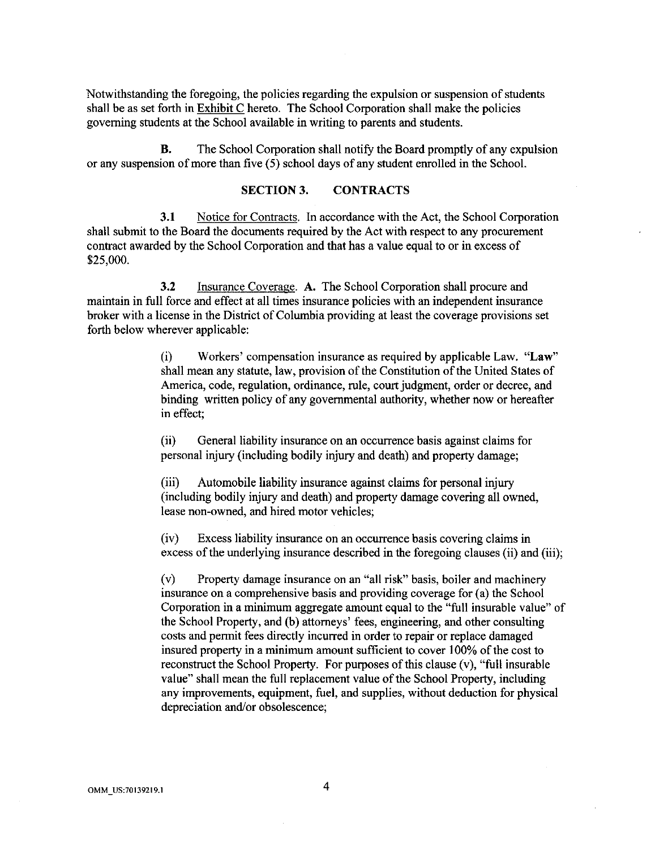Notwithstanding the foregoing, the policies regarding the expulsion or suspension of students shall be as set forth in Exhibit C hereto. The School Corporation shall make the policies governing students at the School available in writing to parents and students.

**B.** The School Corporation shall notify the Board promptly of any expulsion or any suspension of more than five  $(5)$  school days of any student enrolled in the School.

#### **SECTION3. CONTRACTS**

**3.1** Notice for Contracts. In accordance with the Act, the School Corporation shall submit to the Board the documents required by the Act with respect to any procurement contract awarded by the School Corporation and that has a value equal to or in excess of \$25,000.

**3.2** Insurance Coverage. **A.** The School Corporation shall procure and maintain in full force and effect at all times insurance policies with an independent insurance broker with a license in the District of Columbia providing at least the coverage provisions set forth below wherever applicable:

> (i) Workers' compensation insurance as required by applicable Law. **"Law"**  shall mean any statute, law, provision of the Constitution of the United States of America, code, regulation, ordinance, rule, court judgment, order or decree, and binding written policy of any governmental authority, whether now or hereafter in effect;

(ii) General liability insurance on an occurrence basis against claims for personal injury (including bodily injury and death) and property damage;

(iii) Automobile liability insurance against claims for personal injury (including bodily injury and death) and property damage covering all owned, lease non-owned, and hired motor vehicles;

(iv) Excess liability insurance on an occurrence basis covering claims in excess of the underlying insurance described in the foregoing clauses (ii) and (iii);

(v) Property damage insurance on an "all risk" basis, boiler and machinery insurance on a comprehensive basis and providing coverage for (a) the School Corporation in a minimum aggregate amount equal to the "full insurable value" of the School Property, and (b) attorneys' fees, engineering, and other consulting costs and permit fees directly incurred in order to repair or replace damaged insured property in a minimum amount sufficient to cover I 00% of the cost to reconstruct the School Property. For purposes of this clause (v), "full insurable value" shall mean the full replacement value of the School Property, including any improvements, equipment, fuel, and supplies, without deduction for physical depreciation and/or obsolescence;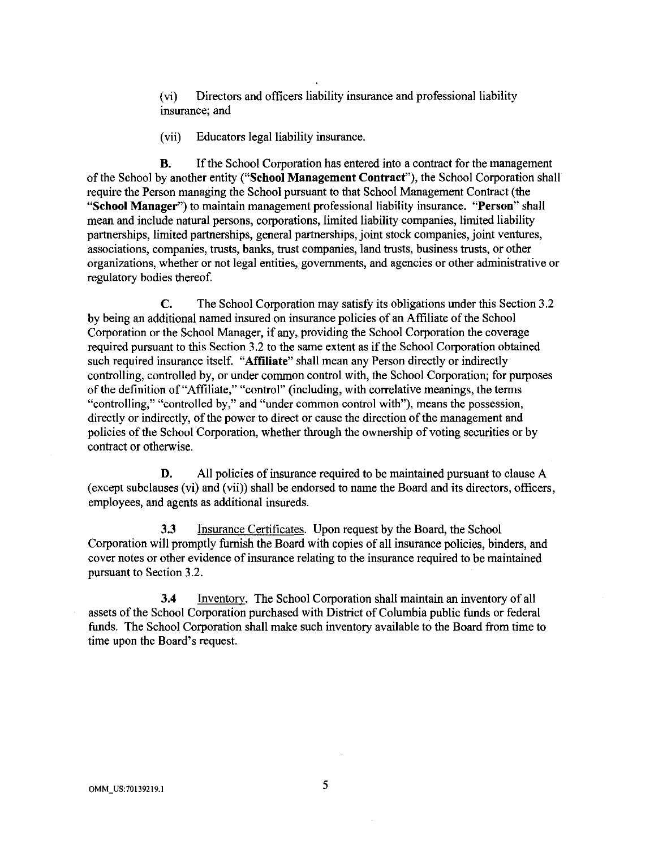(vi) Directors and officers liability insurance and professional liability insurance; and

(vii) Educators legal liability insurance.

**B.** If the School Corporation has entered into a contract for the management of the School by another entity **("School Management Contract"),** the School Corporation shall require the Person managing the School pursuant to that School Management Contract (the **"School Manager")** to maintain management professional liability insurance. **"Person"** shall mean and include natural persons, corporations, limited liability companies, limited liability partnerships, limited partnerships, general partnerships, joint stock companies, joint ventures, associations, companies, trusts, banks, trust companies, land trusts, business trusts, or other organizations, whether or not legal entities, governments, and agencies or other administrative or regulatory bodies thereof.

C. The School Corporation may satisfy its obligations under this Section 3 .2 by being an additional named insured on insurance policies of an Affiliate of the School Corporation or the School Manager, if any, providing the School Corporation the coverage required pursuant to this Section 3 .2 to the same extent as if the School Corporation obtained such required insurance itself. **"Affiliate"** shall mean any Person directly or indirectly controlling, controlled by, or under common control with, the School Corporation; for purposes of the definition of"Affiliate," "control" (including, with correlative meanings, the terms "controlling," "controlled by," and "under common control with"), means the possession, directly or indirectly, of the power to direct or cause the direction of the management and policies of the School Corporation, whether through the ownership of voting securities or by contract or otherwise.

**D.** All policies of insurance required to be maintained pursuant to clause A (except subclauses (vi) and (vii)) shall be endorsed to name the Board and its directors, officers, employees, and agents as additional insureds.

3.3 Insurance Certificates. Upon request by the Board, the School Corporation will promptly furnish the Board with copies of all insurance policies, binders, and cover notes or other evidence of insurance relating to the insurance required to be maintained pursuant to Section 3 .2.

**3.4** lnventorv. The School Corporation shall maintain an inventory of all assets of the School Corporation purchased with District of Columbia public funds or federal funds. The School Corporation shall make such inventory available to the Board from time to time upon the Board's request.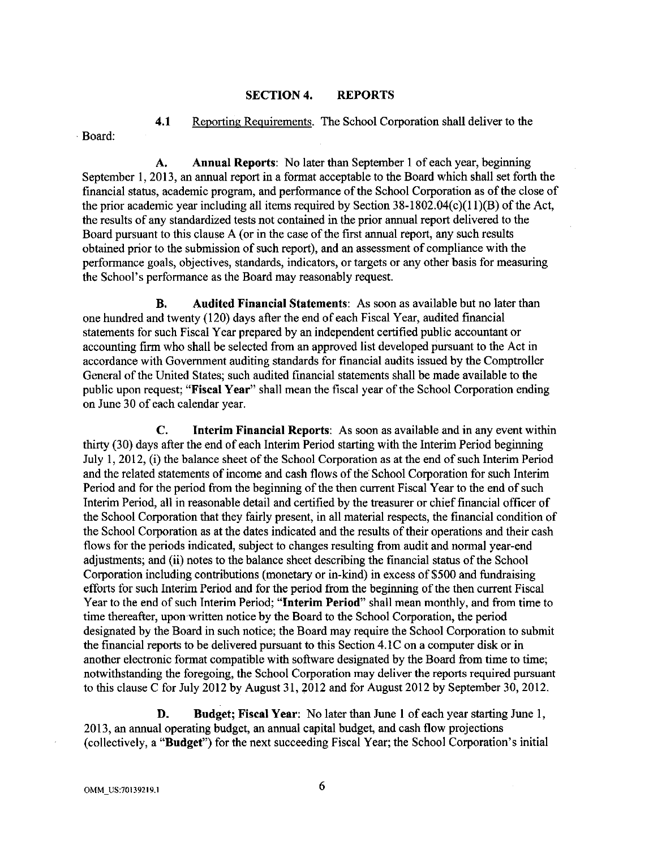### **SECTION 4. REPORTS**

**4.1** Reporting Requirements. The School Corporation shall deliver to the Board:

**A. Annual Reports:** No later than September 1 of each year, beginning September 1, 2013, an annual report in a format acceptable to the Board which shall set forth the financial status, academic program, and performance of the School Corporation as of the close of the prior academic year including all items required by Section  $38-1802.04(c)(11)(B)$  of the Act, the results of any standardized tests not contained in the prior annual report delivered to the Board pursuant to this clause A (or in the case of the first annual report, any such results obtained prior to the submission of such report), and an assessment of compliance with the performance goals, objectives, standards, indicators, or targets or any other basis for measuring the School's performance as the Board may reasonably request.

**B. Audited Financial Statements:** As soon as available but no later than one hundred and twenty (120) days after the end of each Fiscal Year, audited financial statements for such Fiscal Year prepared by an independent certified public accountant or accounting firm who shall be selected from an approved list developed pursuant to the Act in accordance with Government auditing standards for financial audits issued by the Comptroller General of the United States; such audited financial statements shall be made available to the public upon request; **"Fiscal Year"** shall mean the fiscal year of the School Corporation ending on June 30 of each calendar year.

**C. Interim Financial Reports:** As soon as available and in any event within thirty (30) days after the end of each Interim Period starting with the Interim Period beginning July 1, 2012, (i) the balance sheet of the School Corporation as at the end of such Interim Period and the related statements of income and cash flows of the School Corporation for such Interim Period and for the period from the beginning of the then current Fiscal Year to the end of such Interim Period, all in reasonable detail and certified by the treasurer or chief financial officer of the School Corporation that they fairly present, in all material respects, the financial condition of the School Corporation as at the dates indicated and the results of their operations and their cash flows for the periods indicated, subject to changes resulting from audit and normal year-end adjustments; and (ii) notes to the balance sheet describing the financial status of the School Corporation including contributions (monetary or in-kind) in excess of \$500 and fundraising efforts for such Interim Period and for the period from the beginning of the then current Fiscal Year to the end of such Interim Period; **"Interim Period"** shall mean monthly, and from time to time thereafter, upon written notice by the Board to the School Corporation, the period designated by the Board in such notice; the Board may require the School Corporation to submit the financial reports to be delivered pursuant to this Section 4.IC on a computer disk or in another electronic format compatible with software designated by the Board from time to time; notwithstanding the foregoing, the School Corporation may deliver the reports required pursuant to this clause C for July 2012 by August 31, 2012 and for August 2012 by September 30, 2012.

**D. Budget; Fiscal Year:** No later than June **1** of each year starting June 1, 2013, an annual operating budget, an annual capital budget, and cash flow projections (collectively, a **"Budget")** for the next succeeding Fiscal Year; the School Corporation's initial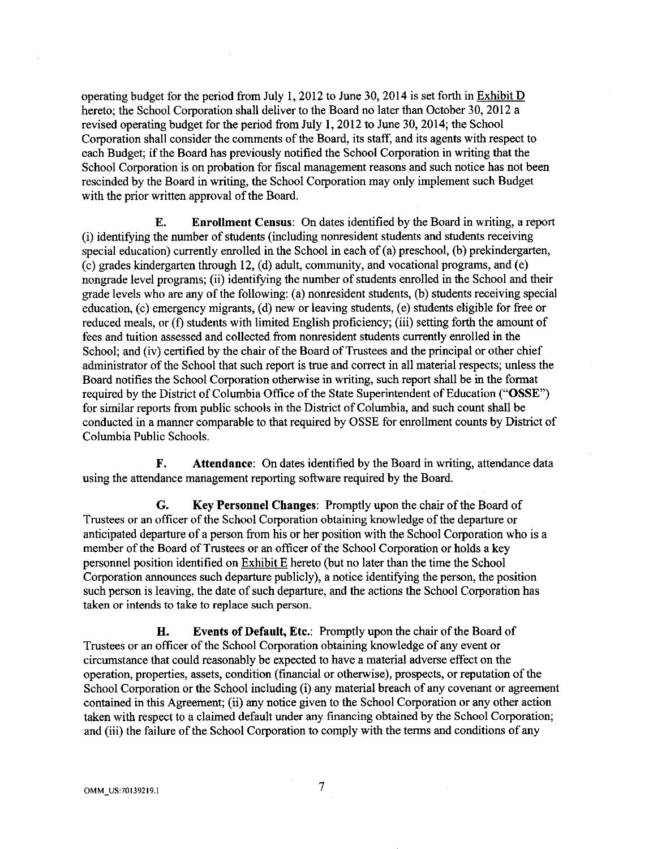operating budget for the period from July 1, 2012 to June 30, 2014 is set forth in Exhibit D hereto; the School Corporation shall deliver to the Board no later than October 30, 2012 a revised operating budget for the period from July **1,** 2012 to June 30, 2014; the School Corporation shall consider the comments of the Board, its staff, and its agents with respect to each Budget; if the Board has previously notified the School Corporation in writing that the School Corporation is on probation for fiscal management reasons and such notice has not been rescinded by the Board in writing, the School Corporation may only implement such Budget with the prior written approval of the Board.

**E. Enrollment Census:** On dates identified by the Board in writing, a report (i) identifying the number of students (including nonresident students and students receiving special education) currently enrolled in the School in each of (a) preschool, (b) prekindergarten, (c) grades kindergarten through 12, (d) adult, community, and vocational programs, and (e) nongrade level programs; (ii) identifying the number of students enrolled in the School and their grade levels who are any of the following: (a) nonresident students, (b) students receiving special education, (c) emergency migrants, (d) new or leaving students, (e) students eligible for free or reduced meals, or (f) students with limited English proficiency; (iii) setting forth the amount of fees and tuition assessed and collected from nonresident students currently enrolled in the School; and (iv) certified by the chair of the Board of Trustees and the principal or other chief administrator of the School that such report is true and correct in all material respects; unless the Board notifies the School Corporation otherwise in writing, such report shall be in the format required by the District of Columbia Office of the State Superintendent of Education **("OSSE")**  for similar reports from public schools in the District of Columbia, and such count shall be conducted in a manner comparable to that required by OSSE for enrollment counts by District of Columbia Public Schools.

**F. Attendance:** On dates identified by the Board in writing, attendance data using the attendance management reporting software required by the Board.

**G. Key Personnel Changes:** Promptly upon the chair of the Board of Trustees or an officer of the School Corporation obtaining knowledge of the departure or anticipated departure of a person from his or her position with the School Corporation who is a member of the Board of Trustees or an officer of the School Corporation or holds a key personnel position identified on Exhibit E hereto (but no later than the time the School Corporation announces such departure publicly), a notice identifying the person, the position such person is leaving, the date of such departure, and the actions the School Corporation has taken or intends to take to replace such person.

**H. Events of Default, Etc.:** Promptly upon the chair of the Board of Trustees or an officer of the School Corporation obtaining knowledge of any event or circumstance that could reasonably be expected to have a material adverse effect on the operation, properties, assets, condition (financial or otherwise), prospects, or reputation of the School Corporation or the School including (i) any material breach of any covenant or agreement contained in this Agreement; (ii) any notice given to the School Corporation or any other action taken with respect to a claimed default under any financing obtained by the School Corporation; and (iii) the failure of the School Corporation to comply with the terms and conditions of any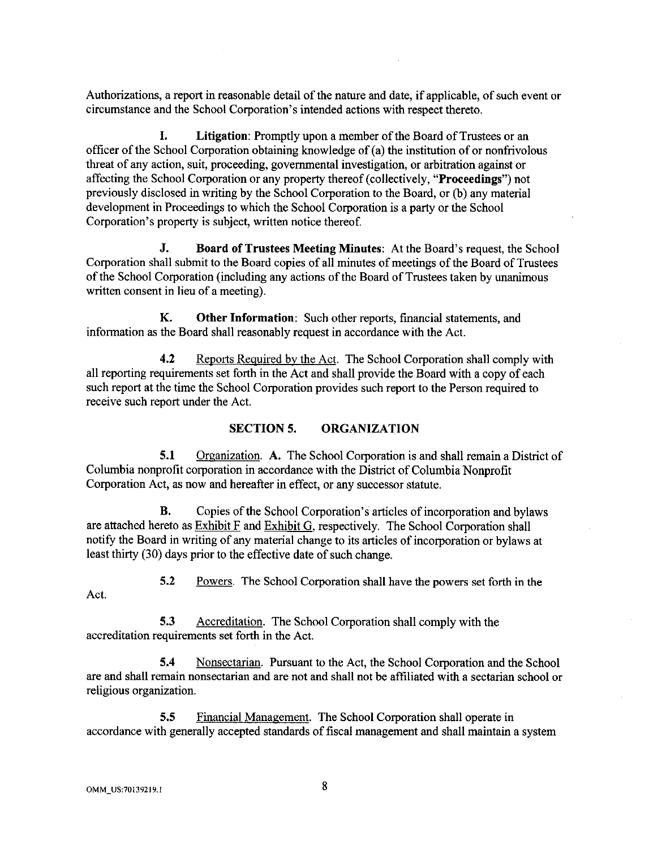Authorizations, a report in reasonable detail of the nature and date, if applicable, of such event or circumstance and the School Corporation's intended actions with respect thereto.

**I. Litigation:** Promptly upon a member of the Board of Trustees or an officer of the School Corporation obtaining knowledge of (a) the institution of or nonfrivolous threat of any action, suit, proceeding, governmental investigation, or arbitration against or affecting the School Corporation or any property thereof (collectively, **"Proceedings")** not previously disclosed in writing by the School Corporation to the Board, or (b) any material development in Proceedings to which the School Corporation is a party or the School Corporation's property is subject, written notice thereof.

**J. Board of Trustees Meeting Minutes:** At the Board's request, the School Corporation shall submit to the Board copies of all minutes of meetings of the Board of Trustees of the School Corporation (including any actions of the Board of Trustees taken by unanimous written consent in lieu of a meeting).

**K. Other Information:** Such other reports, financial statements, and information as the Board shall reasonably request in accordance with the Act.

**4.2** Reports Required by the Act. The School Corporation shall comply with all reporting requirements set forth in the Act and shall provide the Board with a copy of each such report at the time the School Corporation provides such report to the Person required to receive such report under the Act.

#### **SECTION 5. ORGANIZATION**

**5.1** Organization. **A.** The School Corporation is and shall remain a District of Columbia nonprofit corporation in accordance with the District of Columbia Nonprofit Corporation Act, as now and hereafter in effect, or any successor statute.

**B.** Copies of the School Corporation's articles of incorporation and bylaws are attached hereto as Exhibit F and Exhibit G, respectively. The School Corporation shall notify the Board in writing of any material change to its articles of incorporation or bylaws at least thirty (30) days prior to the effective date of such change.

5.2 Powers. The School Corporation shall have the powers set forth in the

Act.

5.3 Accreditation. The School Corporation shall comply with the

accreditation requirements set forth in the Act.

**5.4** Nonsectarian. Pursuant to the Act, the School Corporation and the School are and shall remain nonsectarian and are not and shall not be affiliated with a sectarian school or religious organization.

5.5 Financial Management. The School Corporation shall operate in accordance with generally accepted standards of fiscal management and shall maintain a system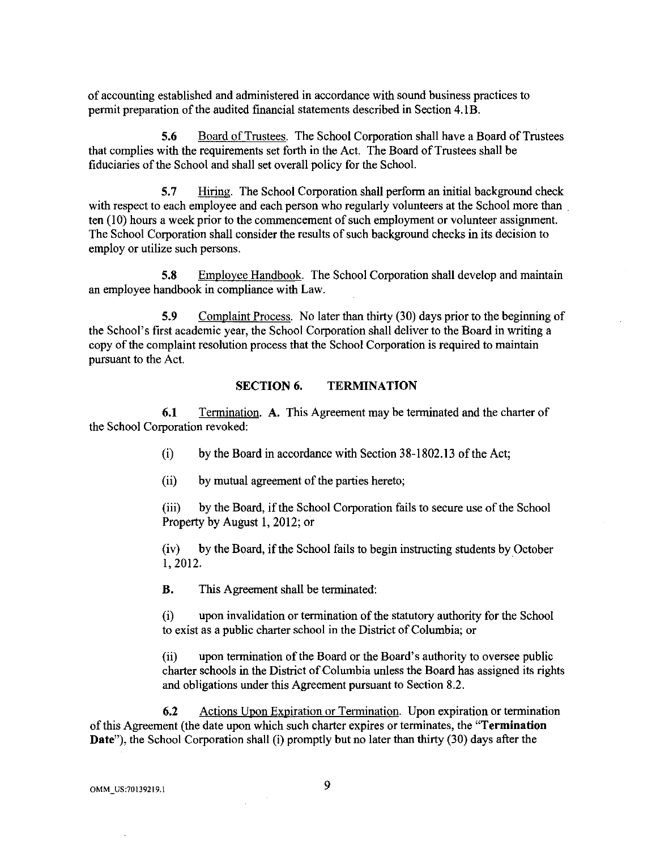of accounting established and administered in accordance with sound business practices to permit preparation of the audited financial statements described in Section 4.lB.

5.6 Board of Trustees. The School Corporation shall have a Board of Trustees that complies with the requirements set forth in the Act. The Board of Trustees shall be fiduciaries of the School and shall set overall policy for the School.

5.7 Hiring. The School Corporation shall perform an initial background check with respect to each employee and each person who regularly volunteers at the School more than ten (10) hours a week prior to the commencement of such employment or volunteer assignment. The School Corporation shall consider the results of such background checks in its decision to employ or utilize such persons.

5.8 Employee Handbook. The School Corporation shall develop and maintain an employee handbook in compliance with Law.

5.9 Complaint Process. No later than thirty (30) days prior to the beginning of the School's first academic year, the School Corporation shall deliver to the Board in writing a copy of the complaint resolution process that the School Corporation is required to maintain pursuant to the Act.

#### SECTION 6. TERMINATION

6.1 Termination. A. This Agreement may be terminated and the charter of the School Corporation revoked:

(i) by the Board in accordance with Section 38-1802.13 of the Act;

(ii) by mutual agreement of the parties hereto;

(iii) by the Board, if the School Corporation fails to secure use of the School Property by August 1, 2012; or

 $(iv)$  by the Board, if the School fails to begin instructing students by October 1, 2012.

B. This Agreement shall be terminated:

(i) upon invalidation or termination of the statutory authority for the School to exist as a public charter school in the District of Columbia; or

(ii) upon termination of the Board or the Board's authority to oversee public charter schools in the District of Columbia unless the Board has assigned its rights and obligations under this Agreement pursuant to Section 8.2.

6.2 Actions Upon Expiration or Termination. Upon expiration or termination of this Agreement (the date upon which such charter expires or terminates, the "Termination Date"), the School Corporation shall (i) promptly but no later than thirty (30) days after the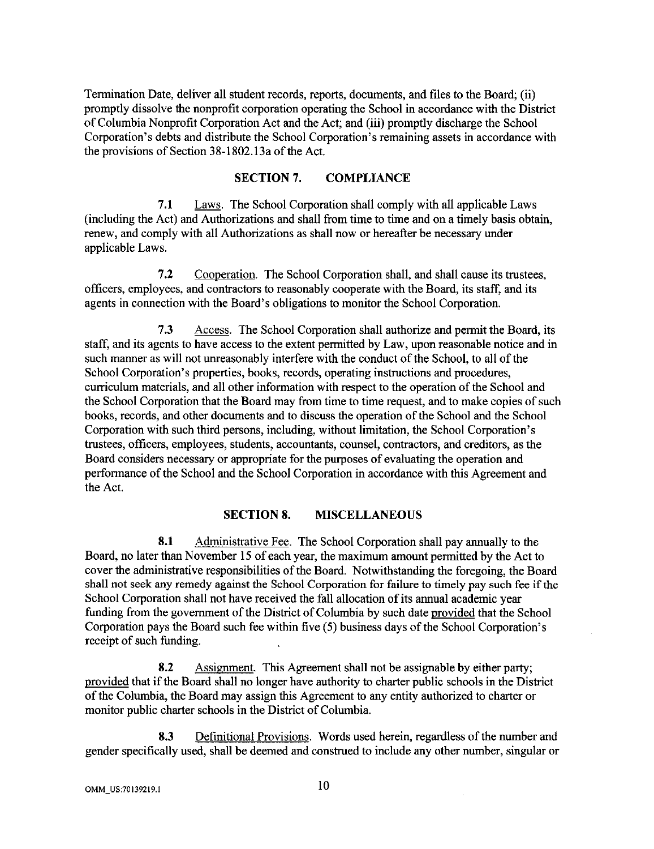Termination Date, deliver all student records, reports, documents, and files to the Board; (ii) promptly dissolve the nonprofit corporation operating the School in accordance with the District of Columbia Nonprofit Corporation Act and the Act; and (iii) promptly discharge the School Corporation's debts and distribute the School Corporation's remaining assets in accordance with the provisions of Section 38-1802.13a of the Act.

### SECTION 7. COMPLIANCE

7.1 Laws. The School Corporation shall comply with all applicable Laws (including the Act) and Authorizations and shall from time to time and on a timely basis obtain, renew, and comply with all Authorizations as shall now or hereafter be necessary under applicable Laws.

7 .2 Cooperation. The School Corporation shall, and shall cause its trustees, officers, employees, and contractors to reasonably cooperate with the Board, its staff, and its agents in connection with the Board's obligations to monitor the School Corporation.

7 .3 Access. The School Corporation shall authorize and permit the Board, its staff, and its agents to have access to the extent permitted by Law, upon reasonable notice and in such manner as will not unreasonably interfere with the conduct of the School, to all of the School Corporation's properties, books, records, operating instructions and procedures, curriculum materials, and all other information with respect to the operation of the School and the School Corporation that the Board may from time to time request, and to make copies of such books, records, and other documents and to discuss the operation of the School and the School Corporation with such third persons, including, without limitation, the School Corporation's trustees, officers, employees, students, accountants, counsel, contractors, and creditors, as the Board considers necessary or appropriate for the purposes of evaluating the operation and performance of the School and the School Corporation in accordance with this Agreement and the Act.

#### SECTION 8. MISCELLANEOUS

8.1 Administrative Fee. The School Corporation shall pay annually to the Board, no later than November 15 of each year, the maximum amount permitted by the Act to cover the administrative responsibilities of the Board. Notwithstanding the foregoing, the Board shall not seek any remedy against the School Corporation for failure to timely pay such fee if the School Corporation shall not have received the fall allocation of its annual academic year funding from the government of the District of Columbia by such date provided that the School Corporation pays the Board such fee within five (5) business days of the School Corporation's receipt of such funding.

8.2 Assignment. This Agreement shall not be assignable by either party; provided that if the Board shall no longer have authority to charter public schools in the District of the Columbia, the Board may assign this Agreement to any entity authorized to charter or monitor public charter schools in the District of Columbia.

8.3 Definitional Provisions. Words used herein, regardless of the number and gender specifically used, shall be deemed and construed to include any other number, singular or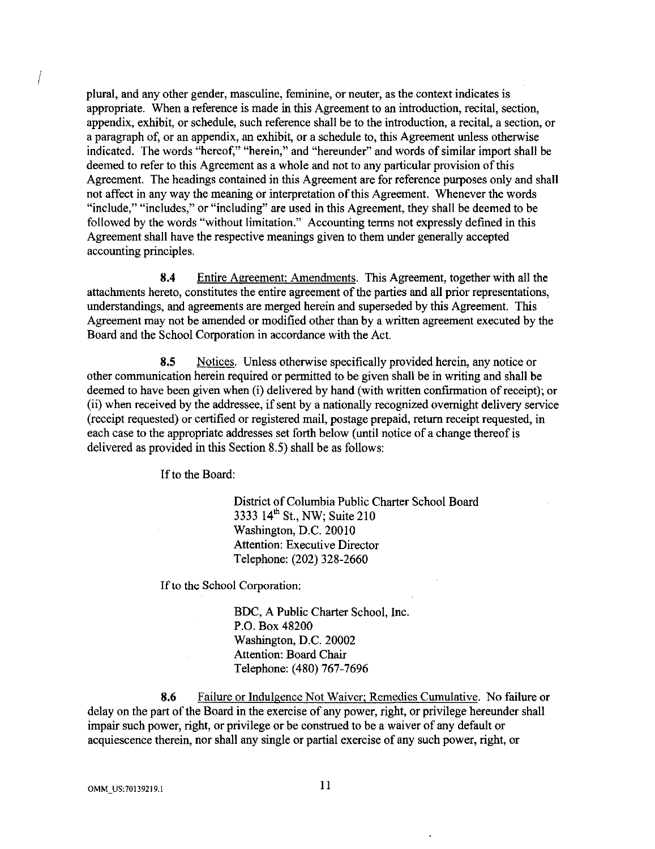plural, and any other gender, masculine, feminine, or neuter, as the context indicates is appropriate. When a reference is made in this Agreement to an introduction, recital, section, appendix, exhibit, or schedule, such reference shall be to the introduction, a recital, a section, or a paragraph of, or an appendix, an exhibit, or a schedule to, this Agreement unless otherwise indicated. The words "hereof," "herein," and "hereunder" and words of similar import shall be deemed to refer to this Agreement as a whole and not to any particular provision of this Agreement. The headings contained in this Agreement are for reference purposes only and shall not affect in any way the meaning or interpretation of this Agreement. Whenever the words "include," "includes," or "including" are used in this Agreement, they shall be deemed to be followed by the words "without limitation." Accounting terms not expressly defined in this Agreement shall have the respective meanings given to them under generally accepted accounting principles.

8.4 Entire Agreement; Amendments. This Agreement, together with all the attachments hereto, constitutes the entire agreement of the parties and all prior representations, understandings, and agreements are merged herein and superseded by this Agreement. This Agreement may not be amended or modified other than by a written agreement executed by the Board and the School Corporation in accordance with the Act.

8.5 Notices. Unless otherwise specifically provided herein, any notice or other communication herein required or permitted to be given shall be in writing and shall be deemed to have been given when (i) delivered by hand (with written confirmation of receipt); or (ii) when received by the addressee, if sent by a nationally recognized overnight delivery service (receipt requested) or certified or registered mail, postage prepaid, return receipt requested, in each case to the appropriate addresses set forth below (until notice of a change thereof is delivered as provided in this Section 8.5) shall be as follows:

If to the Board:

District of Columbia Public Charter School Board 3333 14<sup>th</sup> St., NW; Suite 210 Washington, D.C. 20010 Attention: Executive Director Telephone: (202) 328-2660

If to the School Corporation:

BDC, A Public Charter School, Inc. P.O. Box 48200 Washington, D.C. 20002 Attention: Board Chair Telephone: (480) 767-7696

8.6 Failure or Indulgence Not Waiver; Remedies Cumulative. No failure or delay on the part of the Board in the exercise of any power, right, or privilege hereunder shall impair such power, right, or privilege or be construed to be a waiver of any default or acquiescence therein, nor shall any single or partial exercise of any such power, right, or

I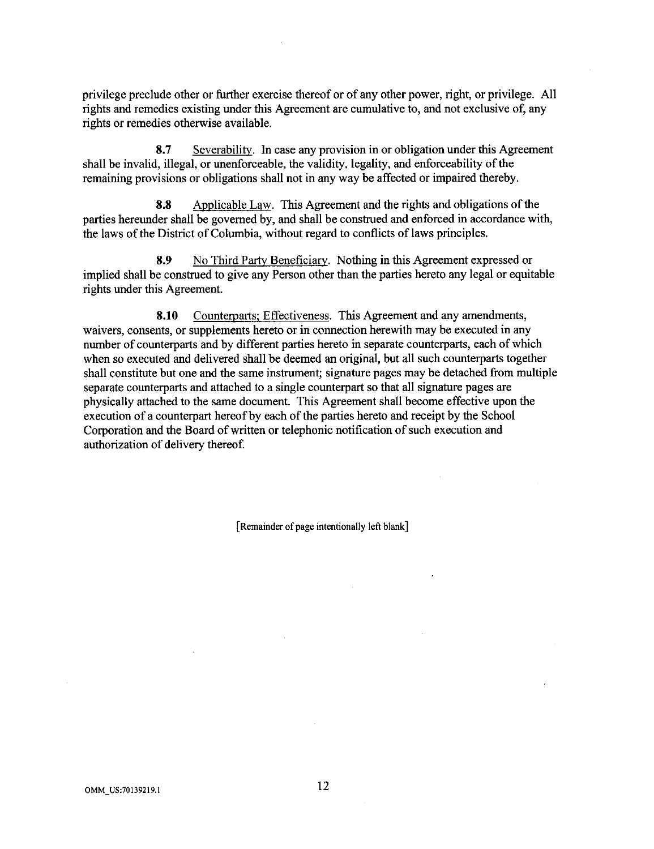privilege preclude other or further exercise thereof or of any other power, right, or privilege. All rights and remedies existing under this Agreement are cumulative to, and not exclusive of, any rights or remedies otherwise available.

8.7 Sevcrability. In case any provision in or obligation under this Agreement shall be invalid, illegal, or unenforceable, the validity, legality, and enforceability of the remaining provisions or obligations shall not in any way be affected or impaired thereby.

8.8 Applicable Law. This Agreement and the rights and obligations of the parties hereunder shall be governed by, and shall be construed and enforced in accordance with, the laws of the District of Columbia, without regard to conflicts of laws principles.

8.9 No Third Party Beneficiary. Nothing in this Agreement expressed or implied shall be construed to give any Person other than the parties hereto any legal or equitable rights under this Agreement.

8.10 Counterparts; Effectiveness. This Agreement and any amendments, waivers, consents, or supplements hereto or in connection herewith may be executed in any number of counterparts and by different parties hereto in separate counterparts, each of which when so executed and delivered shall be deemed an original, but all such counterparts together shall constitute but one and the same instrument; signature pages may be detached from multiple separate counterparts and attached to a single counterpart so that all signature pages are physically attached to the same document. This Agreement shall become effective upon the execution of a counterpart hereof by each of the parties hereto and receipt by the School Corporation and the Board of written or telephonic notification of such execution and authorization of delivery thereof.

[Remainder of page intentionally left blank]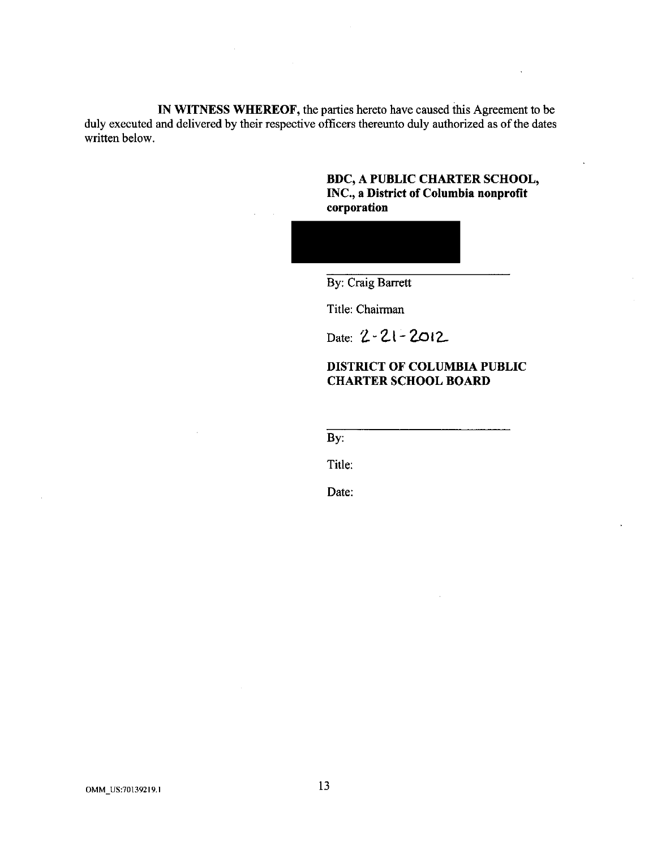**IN WITNESS WHEREOF,** the parties hereto have caused this Agreement to be duly executed and delivered by their respective officers thereunto duly authorized as of the dates written below.

> **BDC, A PUBLIC CHARTER SCHOOL, INC., a District of Columbia nonprofit corporation**



By: Craig Barrett

Title: Chairman

Date: **Z.-2.l - 2.ot2.-**

### **DISTRICT OF COLUMBIA PUBLIC CHARTER SCHOOL BOARD**

By:

Title:

Date: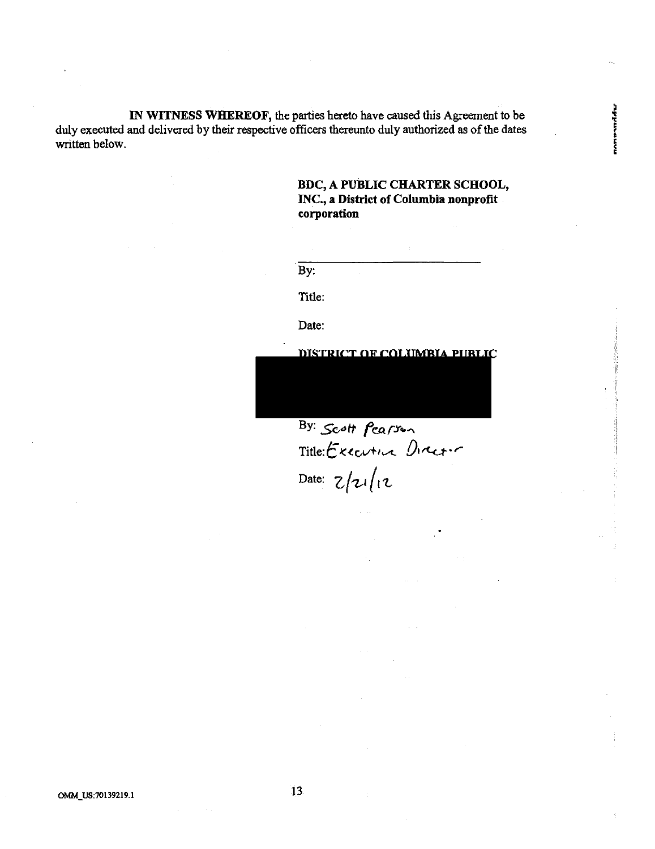IN WITNESS WHEREOF, the parties hereto have caused this Agreement to be duly executed and delivered by their respective officers thereunto duly authorized as of the dates written below.

### BDC, A PUBLIC CHARTER SCHOOL, INC., a District of Columbia nonprofit corporation

nomenand der

By:

Title:

Date:

DISTRICT OF COLUMBIA PUBLIC

By: *Scott fearson* Title: Executive Director Date:  $z/zi/(iz)$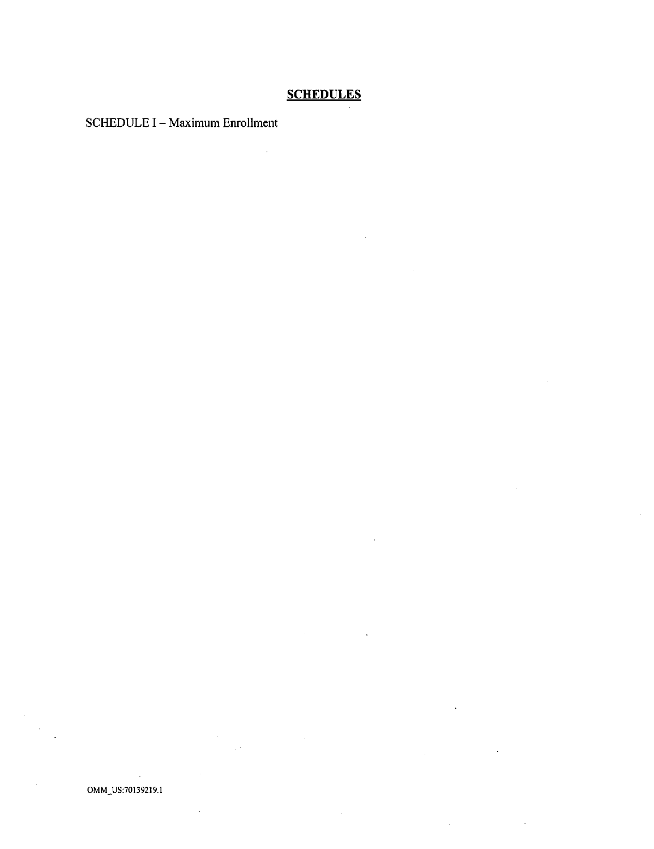# **SCHEDULES**

 $\mathcal{L}_{\text{max}}$ 

 $\bar{\mathcal{A}}$ 

SCHEDULE I - Maximum Enrollment

 $\overline{a}$